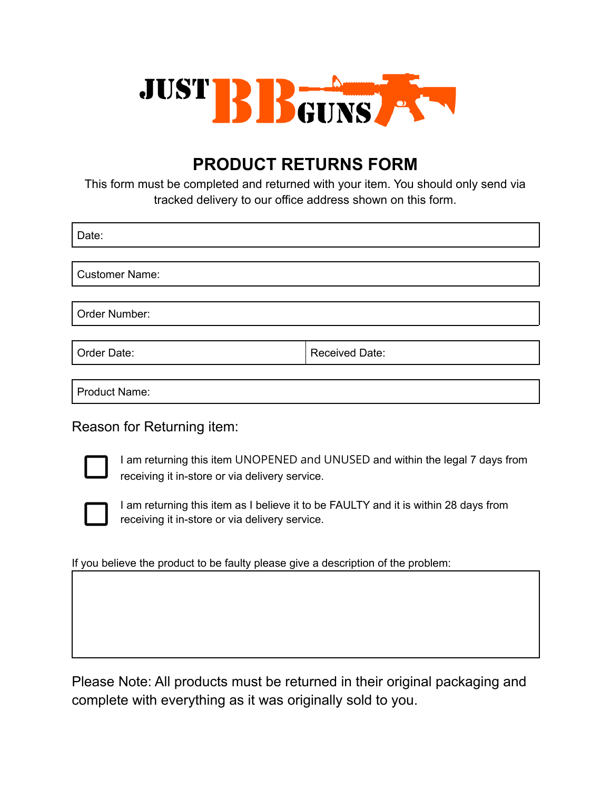

## **PRODUCT RETURNS FORM**

This form must be completed and returned with your item. You should only send via tracked delivery to our office address shown on this form.

Date:

Customer Name:

Order Number:

Order Date: Necessary Received Date:

Product Name:

Reason for Returning item:



I am returning this item UNOPENED and UNUSED and within the legal 7 days from receiving it in-store or via delivery service.



I am returning this item as I believe it to be FAULTY and it is within 28 days from receiving it in-store or via delivery service.

If you believe the product to be faulty please give a description of the problem:

Please Note: All products must be returned in their original packaging and complete with everything as it was originally sold to you.